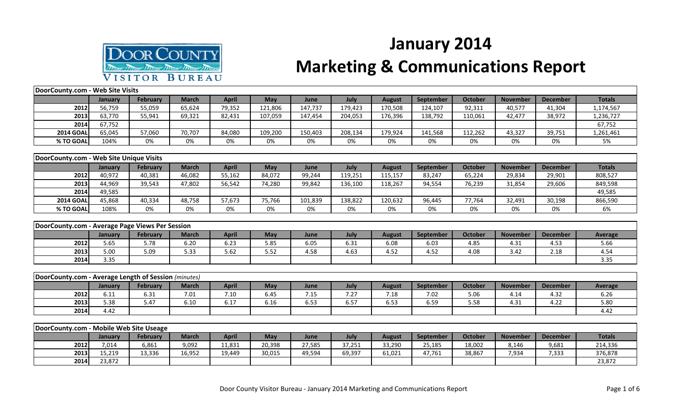

## **January 2014**

## **Marketing & Communications Report**

| DoorCounty.com - Web Site Visits                     |         |                 |              |              |            |         |         |               |                  |                |                 |                 |                |
|------------------------------------------------------|---------|-----------------|--------------|--------------|------------|---------|---------|---------------|------------------|----------------|-----------------|-----------------|----------------|
|                                                      | January | <b>February</b> | <b>March</b> | <b>April</b> | May        | June    | July    | <b>August</b> | <b>September</b> | <b>October</b> | <b>November</b> | <b>December</b> | <b>Totals</b>  |
| 2012                                                 | 56,759  | 55,059          | 65,624       | 79,352       | 121,806    | 147,737 | 179,423 | 170,508       | 124,107          | 92,311         | 40,577          | 41,304          | 1,174,567      |
| 2013                                                 | 63,770  | 55,941          | 69,321       | 82,431       | 107,059    | 147,454 | 204,053 | 176,396       | 138,792          | 110,061        | 42,477          | 38,972          | 1,236,727      |
| 2014                                                 | 67,752  |                 |              |              |            |         |         |               |                  |                |                 |                 | 67,752         |
| <b>2014 GOAL</b>                                     | 65,045  | 57,060          | 70,707       | 84,080       | 109,200    | 150,403 | 208,134 | 179,924       | 141,568          | 112,262        | 43,327          | 39,751          | 1,261,461      |
| % TO GOAL                                            | 104%    | 0%              | 0%           | 0%           | 0%         | 0%      | 0%      | 0%            | 0%               | 0%             | 0%              | 0%              | 5%             |
|                                                      |         |                 |              |              |            |         |         |               |                  |                |                 |                 |                |
| DoorCounty.com - Web Site Unique Visits              |         |                 |              |              |            |         |         |               |                  |                |                 |                 |                |
|                                                      | January | <b>February</b> | <b>March</b> | <b>April</b> | May        | June    | July    | <b>August</b> | <b>September</b> | <b>October</b> | <b>November</b> | <b>December</b> | <b>Totals</b>  |
| 2012                                                 | 40,972  | 40,381          | 46,082       | 55,162       | 84,072     | 99,244  | 119,251 | 115,157       | 83,247           | 65,224         | 29,834          | 29,901          | 808,527        |
| 2013                                                 | 44,969  | 39,543          | 47,802       | 56,542       | 74,280     | 99,842  | 136,100 | 118,267       | 94,554           | 76,239         | 31,854          | 29,606          | 849,598        |
| 2014                                                 | 49,585  |                 |              |              |            |         |         |               |                  |                |                 |                 | 49,585         |
| <b>2014 GOAL</b>                                     | 45,868  | 40,334          | 48,758       | 57,673       | 75,766     | 101,839 | 138,822 | 120,632       | 96,445           | 77,764         | 32,491          | 30,198          | 866,590        |
| % TO GOAL                                            | 108%    | 0%              | 0%           | 0%           | 0%         | 0%      | 0%      | 0%            | 0%               | 0%             | 0%              | 0%              | 6%             |
|                                                      |         |                 |              |              |            |         |         |               |                  |                |                 |                 |                |
| DoorCounty.com - Average Page Views Per Session      |         |                 |              |              |            |         |         |               |                  |                |                 |                 |                |
|                                                      | January | <b>February</b> | <b>March</b> | <b>April</b> | May        | June    | July    | <b>August</b> | September        | <b>October</b> | <b>November</b> | <b>December</b> | <b>Average</b> |
| 2012                                                 | 5.65    | 5.78            | 6.20         | 6.23         | 5.85       | 6.05    | 6.31    | 6.08          | 6.03             | 4.85           | 4.31            | 4.53            | 5.66           |
| 2013                                                 | 5.00    | 5.09            | 5.33         | 5.62         | 5.52       | 4.58    | 4.63    | 4.52          | 4.52             | 4.08           | 3.42            | 2.18            | 4.54           |
| 2014                                                 | 3.35    |                 |              |              |            |         |         |               |                  |                |                 |                 | 3.35           |
|                                                      |         |                 |              |              |            |         |         |               |                  |                |                 |                 |                |
| DoorCounty.com - Average Length of Session (minutes) |         |                 |              |              |            |         |         |               |                  |                |                 |                 |                |
|                                                      | January | <b>February</b> | <b>March</b> | <b>April</b> | May        | June    | July    | <b>August</b> | September        | <b>October</b> | <b>November</b> | <b>December</b> | <b>Average</b> |
| 2012                                                 | 6.11    | 6.31            | 7.01         | 7.10         | 6.45       | 7.15    | 7.27    | 7.18          | 7.02             | 5.06           | 4.14            | 4.32            | 6.26           |
| 2013                                                 | 5.38    | 5.47            | 6.10         | 6.17         | 6.16       | 6.53    | 6.57    | 6.53          | 6.59             | 5.58           | 4.31            | 4.22            | 5.80           |
| 2014                                                 | 4.42    |                 |              |              |            |         |         |               |                  |                |                 |                 | 4.42           |
|                                                      |         |                 |              |              |            |         |         |               |                  |                |                 |                 |                |
| DoorCounty.com - Mobile Web Site Useage              |         |                 |              |              |            |         |         |               |                  |                |                 |                 |                |
|                                                      | January | <b>February</b> | <b>March</b> | <b>April</b> | <b>May</b> | June    | July    | <b>August</b> | September        | <b>October</b> | <b>November</b> | <b>December</b> | <b>Totals</b>  |
| 2012                                                 | 7,014   | 6,861           | 9,092        | 11,831       | 20,398     | 27,585  | 37,251  | 33,290        | 25,185           | 18,002         | 8,146           | 9,681           | 214,336        |
| 2013                                                 | 15,219  | 13,336          | 16,952       | 19,449       | 30,015     | 49,594  | 69,397  | 61,021        | 47,761           | 38,867         | 7,934           | 7,333           | 376,878        |
| 2014                                                 | 23,872  |                 |              |              |            |         |         |               |                  |                |                 |                 | 23,872         |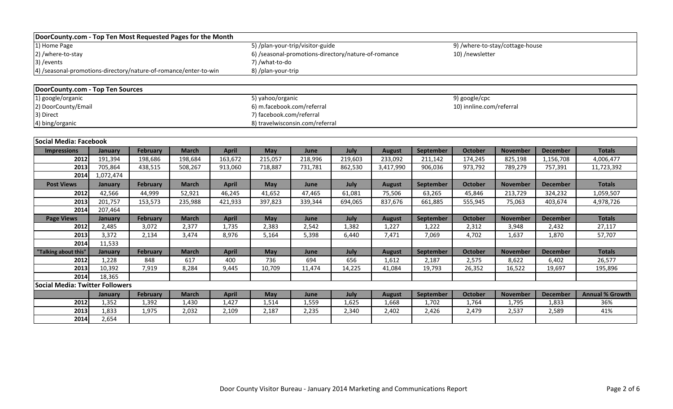| DoorCounty.com - Top Ten Most Requested Pages for the Month      |                |                 |              |              |                            |                                                     |         |               |           |                          |                                 |                 |                        |
|------------------------------------------------------------------|----------------|-----------------|--------------|--------------|----------------------------|-----------------------------------------------------|---------|---------------|-----------|--------------------------|---------------------------------|-----------------|------------------------|
| $\overline{1}$ Home Page                                         |                |                 |              |              |                            | 5) /plan-your-trip/visitor-guide                    |         |               |           |                          | 9) /where-to-stay/cottage-house |                 |                        |
| 2) /where-to-stay                                                |                |                 |              |              |                            | 6) /seasonal-promotions-directory/nature-of-romance |         |               |           | 10) /newsletter          |                                 |                 |                        |
| 3) / events                                                      |                |                 |              |              | 7) /what-to-do             |                                                     |         |               |           |                          |                                 |                 |                        |
| 4) /seasonal-promotions-directory/nature-of-romance/enter-to-win |                |                 |              |              | 8) /plan-your-trip         |                                                     |         |               |           |                          |                                 |                 |                        |
|                                                                  |                |                 |              |              |                            |                                                     |         |               |           |                          |                                 |                 |                        |
| DoorCounty.com - Top Ten Sources                                 |                |                 |              |              |                            |                                                     |         |               |           |                          |                                 |                 |                        |
| 1) google/organic                                                |                |                 |              |              | 5) yahoo/organic           |                                                     |         |               |           | 9) google/cpc            |                                 |                 |                        |
| 2) DoorCounty/Email                                              |                |                 |              |              | 6) m.facebook.com/referral |                                                     |         |               |           | 10) innline.com/referral |                                 |                 |                        |
| 3) Direct                                                        |                |                 |              |              | 7) facebook.com/referral   |                                                     |         |               |           |                          |                                 |                 |                        |
| 4) bing/organic                                                  |                |                 |              |              |                            | 8) travelwisconsin.com/referral                     |         |               |           |                          |                                 |                 |                        |
|                                                                  |                |                 |              |              |                            |                                                     |         |               |           |                          |                                 |                 |                        |
| Social Media: Facebook                                           |                |                 |              |              |                            |                                                     |         |               |           |                          |                                 |                 |                        |
| <b>Impressions</b>                                               | January        | February        | <b>March</b> | <b>April</b> | May                        | June                                                | July    | <b>August</b> | September | <b>October</b>           | <b>November</b>                 | <b>December</b> | <b>Totals</b>          |
| 2012                                                             | 191,394        | 198,686         | 198,684      | 163,672      | 215,057                    | 218,996                                             | 219,603 | 233,092       | 211,142   | 174,245                  | 825,198                         | 1,156,708       | 4,006,477              |
| 2013                                                             | 705,864        | 438,515         | 508,267      | 913,060      | 718,887                    | 731,781                                             | 862,530 | 3,417,990     | 906,036   | 973,792                  | 789,279                         | 757,391         | 11,723,392             |
| 2014                                                             | 1,072,474      |                 |              |              |                            |                                                     |         |               |           |                          |                                 |                 |                        |
| <b>Post Views</b>                                                | <b>January</b> | February        | <b>March</b> | <b>April</b> | <b>May</b>                 | June                                                | July    | <b>August</b> | September | <b>October</b>           | <b>November</b>                 | <b>December</b> | <b>Totals</b>          |
| 2012                                                             | 42,566         | 44,999          | 52,921       | 46,245       | 41,652                     | 47,465                                              | 61,081  | 75,506        | 63,265    | 45,846                   | 213,729                         | 324,232         | 1,059,507              |
| 2013                                                             | 201,757        | 153,573         | 235,988      | 421,933      | 397,823                    | 339,344                                             | 694,065 | 837,676       | 661,885   | 555,945                  | 75,063                          | 403,674         | 4,978,726              |
| 2014                                                             | 207,464        |                 |              |              |                            |                                                     |         |               |           |                          |                                 |                 |                        |
| <b>Page Views</b>                                                | <b>January</b> | February        | <b>March</b> | <b>April</b> | May                        | June                                                | July    | <b>August</b> | September | <b>October</b>           | <b>November</b>                 | <b>December</b> | <b>Totals</b>          |
| 2012                                                             | 2,485          | 3,072           | 2,377        | 1,735        | 2,383                      | 2,542                                               | 1,382   | 1,227         | 1,222     | 2,312                    | 3,948                           | 2,432           | 27,117                 |
| 2013                                                             | 3,372          | 2,134           | 3,474        | 8,976        | 5,164                      | 5,398                                               | 6,440   | 7,471         | 7,069     | 4,702                    | 1,637                           | 1,870           | 57,707                 |
| 2014                                                             | 11,533         |                 |              |              |                            |                                                     |         |               |           |                          |                                 |                 |                        |
| "Talking about this"                                             | January        | <b>February</b> | <b>March</b> | <b>April</b> | May                        | June                                                | July    | <b>August</b> | September | <b>October</b>           | <b>November</b>                 | <b>December</b> | <b>Totals</b>          |
| 2012                                                             | 1,228          | 848             | 617          | 400          | 736                        | 694                                                 | 656     | 1,612         | 2,187     | 2,575                    | 8,622                           | 6,402           | 26,577                 |
| 2013                                                             | 10,392         | 7,919           | 8,284        | 9,445        | 10,709                     | 11,474                                              | 14,225  | 41,084        | 19,793    | 26,352                   | 16,522                          | 19,697          | 195,896                |
| 2014                                                             | 18,365         |                 |              |              |                            |                                                     |         |               |           |                          |                                 |                 |                        |
| <b>Social Media: Twitter Followers</b>                           |                |                 |              |              |                            |                                                     |         |               |           |                          |                                 |                 |                        |
|                                                                  | January        | February        | <b>March</b> | <b>April</b> | May                        | June                                                | July    | <b>August</b> | September | <b>October</b>           | <b>November</b>                 | <b>December</b> | <b>Annual % Growth</b> |
| 2012                                                             | 1,352          | 1,392           | 1,430        | 1,427        | 1,514                      | 1,559                                               | 1,625   | 1,668         | 1,702     | 1,764                    | 1,795                           | 1,833           | 36%                    |
| 2013                                                             | 1,833          | 1,975           | 2,032        | 2,109        | 2,187                      | 2,235                                               | 2,340   | 2,402         | 2,426     | 2,479                    | 2,537                           | 2,589           | 41%                    |
| 2014                                                             | 2,654          |                 |              |              |                            |                                                     |         |               |           |                          |                                 |                 |                        |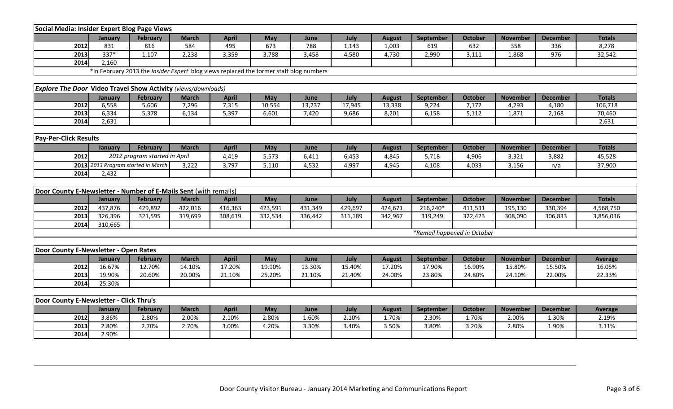| Social Media: Insider Expert Blog Page Views                         |                                    |                               |              |                                                                                               |         |         |         |               |           |                             |                 |                 |                |
|----------------------------------------------------------------------|------------------------------------|-------------------------------|--------------|-----------------------------------------------------------------------------------------------|---------|---------|---------|---------------|-----------|-----------------------------|-----------------|-----------------|----------------|
|                                                                      | January                            | <b>February</b>               | <b>March</b> | <b>April</b>                                                                                  | May     | June    | July    | <b>August</b> | September | <b>October</b>              | <b>November</b> | <b>December</b> | <b>Totals</b>  |
| 2012                                                                 | 831                                | 816                           | 584          | 495                                                                                           | 673     | 788     | 1,143   | 1,003         | 619       | 632                         | 358             | 336             | 8,278          |
| 2013                                                                 | 337*                               | 1,107                         | 2,238        | 3,359                                                                                         | 3,788   | 3,458   | 4,580   | 4,730         | 2,990     | 3,111                       | 1,868           | 976             | 32,542         |
| 2014                                                                 | 2,160                              |                               |              |                                                                                               |         |         |         |               |           |                             |                 |                 |                |
|                                                                      |                                    |                               |              | *In February 2013 the <i>Insider Expert</i> blog views replaced the former staff blog numbers |         |         |         |               |           |                             |                 |                 |                |
|                                                                      |                                    |                               |              |                                                                                               |         |         |         |               |           |                             |                 |                 |                |
| <b>Explore The Door Video Travel Show Activity (views/downloads)</b> |                                    |                               |              |                                                                                               |         |         |         |               |           |                             |                 |                 |                |
|                                                                      | January                            | <b>February</b>               | <b>March</b> | <b>April</b>                                                                                  | May     | June    | July    | <b>August</b> | September | <b>October</b>              | <b>November</b> | <b>December</b> | <b>Totals</b>  |
| 2012                                                                 | 6,558                              | 5,606                         | 7,296        | 7,315                                                                                         | 10,554  | 13,237  | 17,945  | 13,338        | 9,224     | 7,172                       | 4,293           | 4,180           | 106,718        |
| 2013                                                                 | 6,334                              | 5,378                         | 6,134        | 5,397                                                                                         | 6,601   | 7,420   | 9,686   | 8,201         | 6,158     | 5,112                       | 1,871           | 2,168           | 70,460         |
| 2014                                                                 | 2,631                              |                               |              |                                                                                               |         |         |         |               |           |                             |                 |                 | 2,631          |
|                                                                      |                                    |                               |              |                                                                                               |         |         |         |               |           |                             |                 |                 |                |
| <b>Pay-Per-Click Results</b>                                         |                                    |                               |              |                                                                                               |         |         |         |               |           |                             |                 |                 |                |
|                                                                      | January                            | <b>February</b>               | <b>March</b> | <b>April</b>                                                                                  | May     | June    | July    | <b>August</b> | September | October                     | <b>November</b> | <b>December</b> | <b>Totals</b>  |
| 2012                                                                 |                                    | 2012 program started in April |              | 4,419                                                                                         | 5,573   | 6,411   | 6,453   | 4,845         | 5,718     | 4,906                       | 3,321           | 3,882           | 45,528         |
|                                                                      | 2013 2013 Program started in March |                               | 3,222        | 3,797                                                                                         | 5,110   | 4,532   | 4,997   | 4,945         | 4,108     | 4,033                       | 3,156           | n/a             | 37,900         |
| 2014                                                                 | 2,432                              |                               |              |                                                                                               |         |         |         |               |           |                             |                 |                 |                |
|                                                                      |                                    |                               |              |                                                                                               |         |         |         |               |           |                             |                 |                 |                |
| Door County E-Newsletter - Number of E-Mails Sent (with remails)     |                                    |                               |              |                                                                                               |         |         |         |               |           |                             |                 |                 |                |
|                                                                      | January                            | <b>February</b>               | <b>March</b> | <b>April</b>                                                                                  | May     | June    | July    | <b>August</b> | September | October                     | <b>November</b> | <b>December</b> | <b>Totals</b>  |
| 2012                                                                 | 437,876                            | 429,892                       | 422,016      | 416,363                                                                                       | 423,591 | 431,349 | 429,697 | 424,671       | 216,240*  | 411,531                     | 195,130         | 330,394         | 4,568,750      |
| 2013                                                                 | 326,396                            | 321,595                       | 319,699      | 308,619                                                                                       | 332,534 | 336,442 | 311,189 | 342,967       | 319,249   | 322,423                     | 308,090         | 306,833         | 3,856,036      |
| 2014                                                                 | 310,665                            |                               |              |                                                                                               |         |         |         |               |           |                             |                 |                 |                |
|                                                                      |                                    |                               |              |                                                                                               |         |         |         |               |           | *Remail happened in October |                 |                 |                |
|                                                                      |                                    |                               |              |                                                                                               |         |         |         |               |           |                             |                 |                 |                |
| Door County E-Newsletter - Open Rates                                |                                    |                               |              |                                                                                               |         |         |         |               |           |                             |                 |                 |                |
|                                                                      | January                            | <b>February</b>               | <b>March</b> | <b>April</b>                                                                                  | May     | June    | July    | <b>August</b> | September | <b>October</b>              | <b>November</b> | <b>December</b> | <b>Average</b> |
| 2012                                                                 | 16.67%                             | 12.70%                        | 14.10%       | 17.20%                                                                                        | 19.90%  | 13.30%  | 15.40%  | 17.20%        | 17.90%    | 16.90%                      | 15.80%          | 15.50%          | 16.05%         |
| 2013                                                                 | 19.90%                             | 20.60%                        | 20.00%       | 21.10%                                                                                        | 25.20%  | 21.10%  | 21.40%  | 24.00%        | 23.80%    | 24.80%                      | 24.10%          | 22.00%          | 22.33%         |
| 2014                                                                 | 25.30%                             |                               |              |                                                                                               |         |         |         |               |           |                             |                 |                 |                |
|                                                                      |                                    |                               |              |                                                                                               |         |         |         |               |           |                             |                 |                 |                |
|                                                                      |                                    |                               |              |                                                                                               |         |         |         |               |           |                             |                 |                 |                |
| Door County E-Newsletter - Click Thru's                              |                                    |                               |              |                                                                                               |         |         |         |               |           |                             |                 |                 |                |
|                                                                      | January                            | <b>February</b>               | <b>March</b> | <b>April</b>                                                                                  | May     | June    | July    | <b>August</b> | September | October                     | <b>November</b> | <b>December</b> | <b>Average</b> |
| 2012                                                                 | 3.86%                              | 2.80%                         | 2.00%        | 2.10%                                                                                         | 2.80%   | 1.60%   | 2.10%   | 1.70%         | 2.30%     | 1.70%                       | 2.00%           | 1.30%           | 2.19%          |
| 2013                                                                 | 2.80%                              | 2.70%                         | 2.70%        | 3.00%                                                                                         | 4.20%   | 3.30%   | 3.40%   | 3.50%         | 3.80%     | 3.20%                       | 2.80%           | 1.90%           | 3.11%          |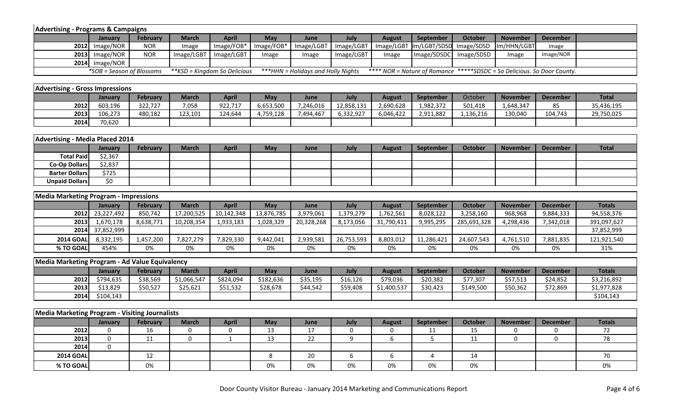| <b>Advertising - Programs &amp; Campaigns</b>  |                           |                 |                  |                               |            |                                     |                  |                  |                  |                |                                                                         |                  |               |
|------------------------------------------------|---------------------------|-----------------|------------------|-------------------------------|------------|-------------------------------------|------------------|------------------|------------------|----------------|-------------------------------------------------------------------------|------------------|---------------|
|                                                | January                   | <b>February</b> | <b>March</b>     | <b>April</b>                  | May        | June                                | July             | <b>August</b>    | September        | <b>October</b> | <b>November</b>                                                         | <b>December</b>  |               |
| 2012                                           | Image/NOR                 | <b>NOR</b>      | Image            | Image/FOB*                    | Image/FOB* | Image/LGBT                          | Image/LGBT       | Image/LGBT       | Im/LGBT/SDSD     | Image/SDSD     | Im/HHN/LGBT                                                             | Image            |               |
| 2013                                           | Image/NOR                 | <b>NOR</b>      | Image/LGBT       | Image/LGBT                    | Image      | Image                               | Image/LGBT       | Image            | Image/SDSDC      | Image/SDSD     | Image                                                                   | Image/NOR        |               |
|                                                | 2014 Image/NOR            |                 |                  |                               |            |                                     |                  |                  |                  |                |                                                                         |                  |               |
|                                                | *SOB = Season of Blossoms |                 |                  | ** KSD = Kingdom So Delicious |            | *** HHN = Holidays and Holly Nights |                  |                  |                  |                | **** NOR = Nature of Romance *****SDSDC = So Delicious. So Door County. |                  |               |
|                                                |                           |                 |                  |                               |            |                                     |                  |                  |                  |                |                                                                         |                  |               |
| <b>Advertising - Gross Impressions</b>         |                           |                 |                  |                               |            |                                     |                  |                  |                  |                |                                                                         |                  |               |
|                                                | January                   | <b>February</b> | <b>March</b>     | <b>April</b>                  | May        | June                                | July             | <b>August</b>    | September        | October        | <b>November</b>                                                         | <b>December</b>  | <b>Total</b>  |
| 2012                                           | 603,196                   | 322,727         | 7,058            | 922,717                       | 6,653,500  | 7,246,016                           | 12,858,131       | 2,690,628        | 1,982,372        | 501,418        | 1,648,347                                                               | 85               | 35,436,195    |
| 2013                                           | 106,273                   | 480,182         | 123,101          | 124,644                       | 4,759,128  | 7,494,467                           | 6,332,927        | 6,046,422        | 2,911,882        | 1,136,216      | 130,040                                                                 | 104,743          | 29,750,025    |
| 2014                                           | 70,620                    |                 |                  |                               |            |                                     |                  |                  |                  |                |                                                                         |                  |               |
|                                                |                           |                 |                  |                               |            |                                     |                  |                  |                  |                |                                                                         |                  |               |
| <b>Advertising - Media Placed 2014</b>         |                           |                 |                  |                               |            |                                     |                  |                  |                  |                |                                                                         |                  |               |
|                                                | January                   | <b>February</b> | <b>March</b>     | <b>April</b>                  | May        | June                                | July             | <b>August</b>    | September        | <b>October</b> | <b>November</b>                                                         | <b>December</b>  | <b>Total</b>  |
| <b>Total Paid</b>                              | \$2,367                   |                 |                  |                               |            |                                     |                  |                  |                  |                |                                                                         |                  |               |
| <b>Co-Op Dollars</b>                           | \$2,837                   |                 |                  |                               |            |                                     |                  |                  |                  |                |                                                                         |                  |               |
| <b>Barter Dollars</b>                          | \$725                     |                 |                  |                               |            |                                     |                  |                  |                  |                |                                                                         |                  |               |
| <b>Unpaid Dollars</b>                          | \$0                       |                 |                  |                               |            |                                     |                  |                  |                  |                |                                                                         |                  |               |
| <b>Media Marketing Program - Impressions</b>   |                           |                 |                  |                               |            |                                     |                  |                  |                  |                |                                                                         |                  |               |
|                                                | <b>January</b>            | <b>February</b> | <b>March</b>     | <b>April</b>                  | May        | June                                | July             | <b>August</b>    | September        | <b>October</b> | <b>November</b>                                                         | <b>December</b>  | <b>Totals</b> |
| 2012                                           | 23,227,492                | 850,742         | 17,200,525       | 10,142,348                    | 13,876,785 | 3,979,061                           | 1,379,279        | 1,762,561        | 8,028,122        | 3,258,160      | 968,968                                                                 | 9,884,333        | 94,558,376    |
| 2013                                           | 1,670,178                 | 8,638,771       | 10,208,354       | 1,933,183                     | 1,028,329  | 20,328,268                          | 8,173,056        | 31,790,411       | 9,995,295        | 285,691,328    | 4,298,436                                                               | 7,342,018        | 391,097,627   |
| 2014                                           | 37,852,999                |                 |                  |                               |            |                                     |                  |                  |                  |                |                                                                         |                  | 37,852,999    |
| <b>2014 GOAL</b>                               | 8,332,195                 | 1,457,200       | 7,827,279        | 7,829,330                     | 9,442,041  | 2,939,581                           | 26,753,593       | 8,803,012        | 11,286,421       | 24,607,543     | 4,761,510                                                               | 7,881,835        | 121,921,540   |
| % TO GOAL                                      | 454%                      | 0%              | 0%               | 0%                            | 0%         | 0%                                  | 0%               | 0%               | 0%               | 0%             | $0\%$                                                                   | $0\%$            | 31%           |
|                                                |                           |                 |                  |                               |            |                                     |                  |                  |                  |                |                                                                         |                  |               |
| Media Marketing Program - Ad Value Equivalency |                           |                 |                  |                               |            |                                     |                  |                  |                  |                |                                                                         |                  |               |
|                                                | January                   | <b>February</b> | <b>March</b>     | <b>April</b>                  | May        | June                                | July             | <b>August</b>    | September        | <b>October</b> | <b>November</b>                                                         | <b>December</b>  | <b>Totals</b> |
| 2012                                           | \$794,635                 | \$38,569        | \$1,066,547      | \$824,094                     | \$182,636  | \$35,195                            | \$16,126         | \$79,036         | \$20,382         | \$77,307       | \$57,513                                                                | \$24,852         | \$3,216,892   |
| 2013                                           | \$13,829                  | \$50,527        | \$25,621         | \$51,532                      | \$28,678   | \$44,542                            | \$59,408         | \$1,400,537      | \$30,423         | \$149,500      | \$50,362                                                                | \$72,869         | \$1,977,828   |
| 2014                                           | $\overline{$}104,143$     |                 |                  |                               |            |                                     |                  |                  |                  |                |                                                                         |                  | \$104,143     |
|                                                |                           |                 |                  |                               |            |                                     |                  |                  |                  |                |                                                                         |                  |               |
| Media Marketing Program - Visiting Journalists |                           |                 |                  |                               |            |                                     |                  |                  |                  |                |                                                                         |                  |               |
|                                                | January                   | <b>February</b> | <b>March</b>     | <b>April</b>                  | May        | June                                | July             | <b>August</b>    | <b>September</b> | October        | <b>November</b>                                                         | <b>December</b>  | <b>Totals</b> |
| 2012                                           | $\mathbf 0$               | 16              | $\boldsymbol{0}$ | $\mathbf 0$                   | 13         | 17                                  | $\boldsymbol{0}$ | $\boldsymbol{0}$ | 11               | 15             | $\mathbf 0$                                                             | 0                | 72            |
| 2013                                           | $\pmb{0}$                 | 11              | $\mathbf 0$      | $1\,$                         | 13         | 22                                  | 9                | 6                | $5\phantom{.}$   | 11             | $\mathbf 0$                                                             | $\boldsymbol{0}$ | 78            |
| 2014                                           | $\boldsymbol{0}$          |                 |                  |                               |            |                                     |                  |                  |                  |                |                                                                         |                  |               |
| <b>2014 GOAL</b>                               |                           | 12              |                  |                               | 8          | 20                                  | 6                | 6                | 4                | 14             |                                                                         |                  | 70            |

**% TO GOAL** 0% 0% 0% 0% 0% 0% 0% 0%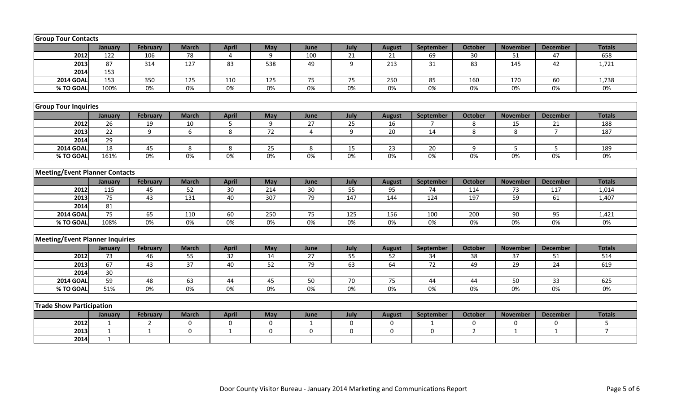| <b>Group Tour Contacts</b>                                                                                                                                                               |                 |                 |                 |                 |                  |                |                  |                 |                 |                |                 |                 |                |
|------------------------------------------------------------------------------------------------------------------------------------------------------------------------------------------|-----------------|-----------------|-----------------|-----------------|------------------|----------------|------------------|-----------------|-----------------|----------------|-----------------|-----------------|----------------|
|                                                                                                                                                                                          | January         | <b>February</b> | <b>March</b>    | <b>April</b>    | May              | June           | July             | <b>August</b>   | September       | <b>October</b> | <b>November</b> | <b>December</b> | <b>Totals</b>  |
| 2012                                                                                                                                                                                     | 122             | 106             | 78              | 4               | 9                | 100            | 21               | 21              | 69              | 30             | 51              | 47              | 658            |
| 2013                                                                                                                                                                                     | 87              | 314             | 127             | 83              | 538              | 49             | 9                | 213             | 31              | 83             | 145             | 42              | 1,721          |
| 2014                                                                                                                                                                                     | 153             |                 |                 |                 |                  |                |                  |                 |                 |                |                 |                 |                |
| <b>2014 GOAL</b>                                                                                                                                                                         | 153             | 350             | 125             | 110             | 125              | 75             | 75               | 250             | 85              | 160            | 170             | 60              | 1,738          |
| % TO GOAL                                                                                                                                                                                | 100%            | $0\%$           | $0\%$           | $0\%$           | $0\%$            | $0\%$          | 0%               | $0\%$           | 0%              | $0\%$          | 0%              | $0\%$           | 0%             |
|                                                                                                                                                                                          |                 |                 |                 |                 |                  |                |                  |                 |                 |                |                 |                 |                |
| <b>Group Tour Inquiries</b>                                                                                                                                                              |                 |                 |                 |                 |                  |                |                  |                 |                 |                |                 |                 |                |
| <b>February</b><br><b>March</b><br><b>April</b><br>May<br>July<br>September<br><b>October</b><br><b>November</b><br><b>Totals</b><br>June<br><b>August</b><br><b>December</b><br>January |                 |                 |                 |                 |                  |                |                  |                 |                 |                |                 |                 |                |
| 2012                                                                                                                                                                                     | 26              | 19              | 10              | 5               | 9                | 27             | 25               | 16              | $\overline{7}$  | 8              | 15              | 21              | 188            |
| 2013                                                                                                                                                                                     | $\overline{22}$ | $\overline{9}$  | $6\overline{}$  | $\overline{8}$  | 72               | $\overline{4}$ | $\overline{9}$   | $\overline{20}$ | 14              | $\overline{8}$ | 8               | $\overline{7}$  | 187            |
| 2014                                                                                                                                                                                     | $\overline{29}$ |                 |                 |                 |                  |                |                  |                 |                 |                |                 |                 |                |
| <b>2014 GOAL</b>                                                                                                                                                                         | 18              | 45              | 8               | 8               | 25               | $\,8\,$        | 15               | 23              | 20              | 9              | 5               | $5\overline{)}$ | 189            |
| % TO GOAL                                                                                                                                                                                | 161%            | 0%              | 0%              | 0%              | 0%               | 0%             | 0%               | 0%              | 0%              | 0%             | 0%              | 0%              | 0%             |
|                                                                                                                                                                                          |                 |                 |                 |                 |                  |                |                  |                 |                 |                |                 |                 |                |
| <b>Meeting/Event Planner Contacts</b>                                                                                                                                                    |                 |                 |                 |                 |                  |                |                  |                 |                 |                |                 |                 |                |
|                                                                                                                                                                                          | January         | <b>February</b> | <b>March</b>    | <b>April</b>    | May              | June           | July             | <b>August</b>   | September       | <b>October</b> | <b>November</b> | <b>December</b> | <b>Totals</b>  |
| 2012                                                                                                                                                                                     | 115             | 45              | 52              | $\overline{30}$ | 214              | 30             | $\overline{55}$  | 95              | 74              | 114            | 73              | 117             | 1,014          |
| 2013                                                                                                                                                                                     | 75              | 43              | 131             | 40              | 307              | 79             | 147              | 144             | 124             | 197            | 59              | 61              | 1,407          |
| 2014                                                                                                                                                                                     | 81              |                 |                 |                 |                  |                |                  |                 |                 |                |                 |                 |                |
| <b>2014 GOAI</b>                                                                                                                                                                         | 75              | 65              | 110             | 60              | 250              | 75             | 125              | 156             | 100             | 200            | 90              | 95              | 1,421          |
| % TO GOAL                                                                                                                                                                                | 108%            | 0%              | 0%              | 0%              | 0%               | 0%             | 0%               | 0%              | $0\%$           | 0%             | $0\%$           | $0\%$           | 0%             |
|                                                                                                                                                                                          |                 |                 |                 |                 |                  |                |                  |                 |                 |                |                 |                 |                |
| <b>Meeting/Event Planner Inquiries</b>                                                                                                                                                   |                 |                 |                 |                 |                  |                |                  |                 |                 |                |                 |                 |                |
|                                                                                                                                                                                          | January         | <b>February</b> | <b>March</b>    | <b>April</b>    | May              | June           | July             | <b>August</b>   | September       | <b>October</b> | <b>November</b> | <b>December</b> | <b>Totals</b>  |
| 2012                                                                                                                                                                                     | 73              | 46              | 55              | 32              | 14               | 27             | 55               | 52              | 34              | 38             | 37              | 51              | 514            |
| 2013                                                                                                                                                                                     | 67              | 43              | $\overline{37}$ | 40              | $\overline{52}$  | 79             | 63               | 64              | $\overline{72}$ | 49             | 29              | 24              | 619            |
| 2014                                                                                                                                                                                     | $\overline{30}$ |                 |                 |                 |                  |                |                  |                 |                 |                |                 |                 |                |
| <b>2014 GOAL</b>                                                                                                                                                                         | 59              | 48              | 63              | 44              | 45               | 50             | 70               | 75              | 44              | 44             | 50              | 33              | 625            |
| % TO GOAL                                                                                                                                                                                | 51%             | 0%              | $0\%$           | $0\%$           | 0%               | 0%             | 0%               | $0\%$           | $0\%$           | 0%             | 0%              | $0\%$           | $0\%$          |
|                                                                                                                                                                                          |                 |                 |                 |                 |                  |                |                  |                 |                 |                |                 |                 |                |
| <b>Trade Show Participation</b>                                                                                                                                                          |                 |                 |                 |                 |                  |                |                  |                 |                 |                |                 |                 |                |
|                                                                                                                                                                                          | January         | <b>February</b> | <b>March</b>    | <b>April</b>    | May              | June           | July             | <b>August</b>   | September       | <b>October</b> | <b>November</b> | <b>December</b> | <b>Totals</b>  |
| 2012                                                                                                                                                                                     | $\mathbf{1}$    | $\overline{2}$  | $\mathbf 0$     | $\mathbf 0$     | $\boldsymbol{0}$ | $\mathbf{1}$   | $\boldsymbol{0}$ | 0               | 1               | $\bf{0}$       | 0               | 0               | 5              |
| 2013                                                                                                                                                                                     | $\mathbf{1}$    | $\mathbf{1}$    | $\overline{0}$  | $\mathbf{1}$    | $\overline{0}$   | $\mathbf 0$    | $\mathbf 0$      | $\mathbf 0$     | $\mathbf 0$     | $\overline{2}$ | $\mathbf{1}$    | $\mathbf{1}$    | $\overline{7}$ |
| 2014                                                                                                                                                                                     | $\mathbf{1}$    |                 |                 |                 |                  |                |                  |                 |                 |                |                 |                 |                |